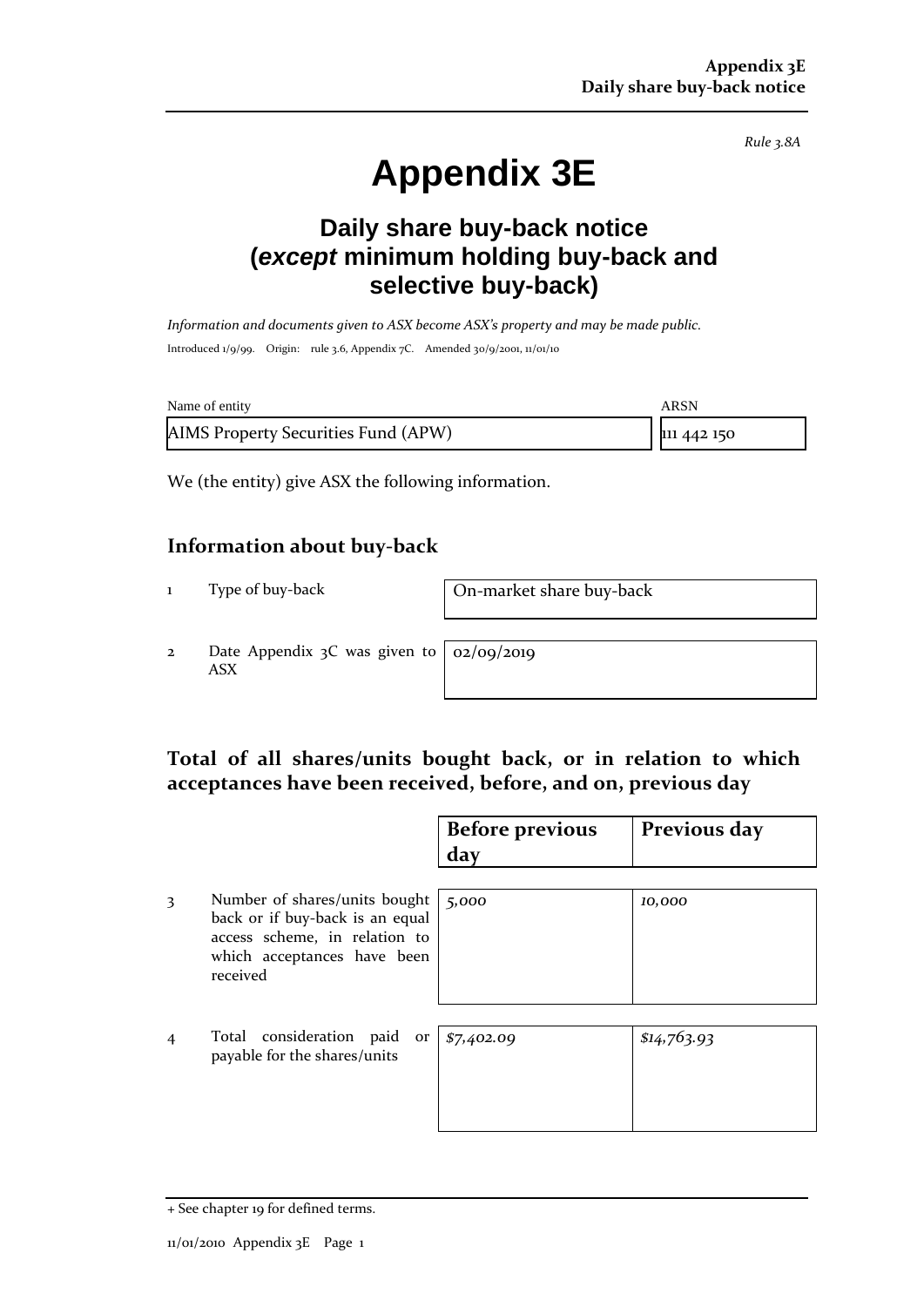*Rule 3.8A*

# **Appendix 3E**

## **Daily share buy-back notice (***except* **minimum holding buy-back and selective buy-back)**

*Information and documents given to ASX become ASX's property and may be made public.* Introduced 1/9/99. Origin: rule 3.6, Appendix 7C. Amended 30/9/2001, 11/01/10

| Name of entity                      | ARSN        |
|-------------------------------------|-------------|
| AIMS Property Securities Fund (APW) | 111 442 150 |

We (the entity) give ASX the following information.

#### **Information about buy-back**

1 Type of buy-back On-market share buy-back

2 Date Appendix 3C was given to ASX

02/09/2019

#### **Total of all shares/units bought back, or in relation to which acceptances have been received, before, and on, previous day**

|                |                                                                                                                                              | <b>Before previous</b><br>day | Previous day |
|----------------|----------------------------------------------------------------------------------------------------------------------------------------------|-------------------------------|--------------|
| 3              | Number of shares/units bought<br>back or if buy-back is an equal<br>access scheme, in relation to<br>which acceptances have been<br>received | 5,000                         | 10,000       |
| $\overline{4}$ | Total consideration paid<br>or<br>payable for the shares/units                                                                               | \$7,402.09                    | \$14,763.93  |

<sup>+</sup> See chapter 19 for defined terms.